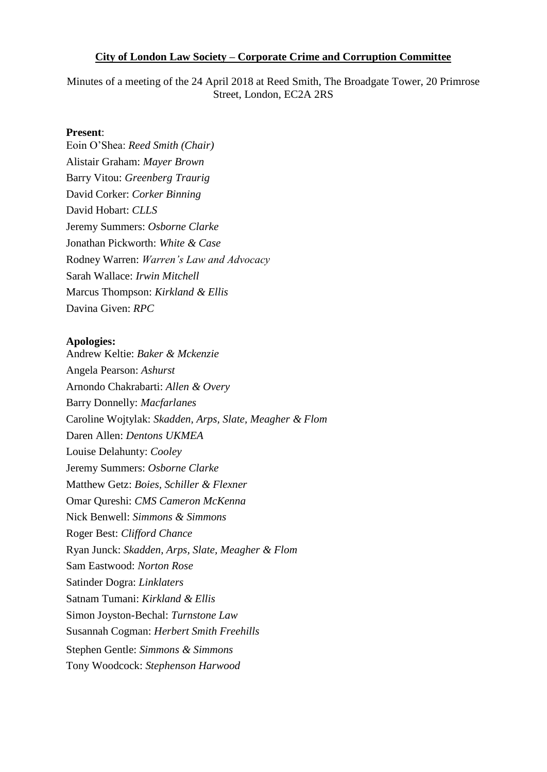#### **City of London Law Society – Corporate Crime and Corruption Committee**

Minutes of a meeting of the 24 April 2018 at Reed Smith, The Broadgate Tower, 20 Primrose Street, London, EC2A 2RS

#### **Present**:

Eoin O'Shea: *Reed Smith (Chair)* Alistair Graham: *Mayer Brown* Barry Vitou: *Greenberg Traurig* David Corker: *Corker Binning* David Hobart: *CLLS* Jeremy Summers: *Osborne Clarke* Jonathan Pickworth: *White & Case* Rodney Warren: *Warren's Law and Advocacy* Sarah Wallace: *Irwin Mitchell* Marcus Thompson: *Kirkland & Ellis* Davina Given: *RPC*

#### **Apologies:**

Andrew Keltie: *Baker & Mckenzie* Angela Pearson: *Ashurst* Arnondo Chakrabarti: *Allen & Overy* Barry Donnelly: *Macfarlanes* Caroline Wojtylak: *Skadden, Arps, Slate, Meagher & Flom* Daren Allen: *Dentons UKMEA*  Louise Delahunty: *Cooley* Jeremy Summers: *Osborne Clarke* Matthew Getz: *Boies, Schiller & Flexner* Omar Qureshi: *CMS Cameron McKenna*  Nick Benwell: *Simmons & Simmons* Roger Best: *Clifford Chance*  Ryan Junck: *Skadden, Arps, Slate, Meagher & Flom* Sam Eastwood: *Norton Rose* Satinder Dogra: *Linklaters* Satnam Tumani: *Kirkland & Ellis* Simon Joyston-Bechal: *Turnstone Law* Susannah Cogman: *Herbert Smith Freehills*  Stephen Gentle: *Simmons & Simmons*  Tony Woodcock: *Stephenson Harwood*